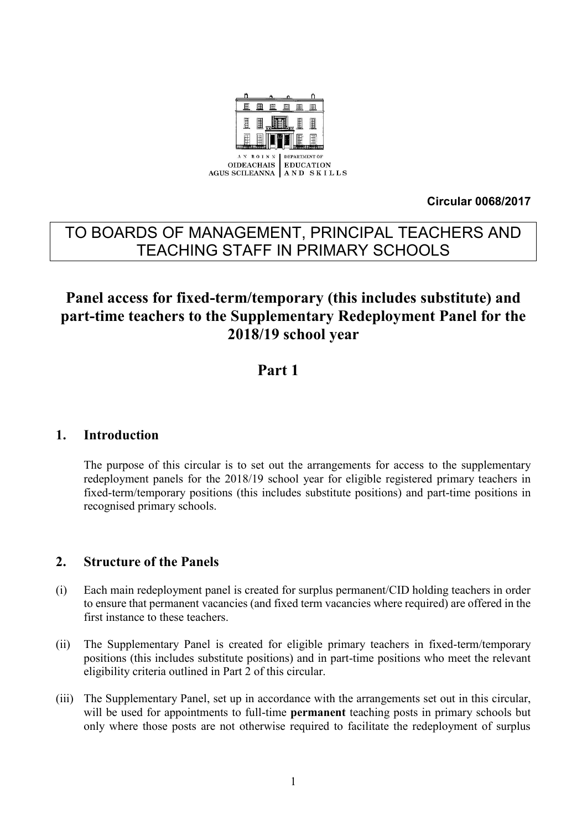

**Circular 0068/2017**

# TO BOARDS OF MANAGEMENT, PRINCIPAL TEACHERS AND TEACHING STAFF IN PRIMARY SCHOOLS

# **Panel access for fixed-term/temporary (this includes substitute) and part-time teachers to the Supplementary Redeployment Panel for the 2018/19 school year**

## **Part 1**

### **1. Introduction**

The purpose of this circular is to set out the arrangements for access to the supplementary redeployment panels for the 2018/19 school year for eligible registered primary teachers in fixed-term/temporary positions (this includes substitute positions) and part-time positions in recognised primary schools.

## **2. Structure of the Panels**

- (i) Each main redeployment panel is created for surplus permanent/CID holding teachers in order to ensure that permanent vacancies (and fixed term vacancies where required) are offered in the first instance to these teachers.
- (ii) The Supplementary Panel is created for eligible primary teachers in fixed-term/temporary positions (this includes substitute positions) and in part-time positions who meet the relevant eligibility criteria outlined in Part 2 of this circular.
- (iii) The Supplementary Panel, set up in accordance with the arrangements set out in this circular, will be used for appointments to full-time **permanent** teaching posts in primary schools but only where those posts are not otherwise required to facilitate the redeployment of surplus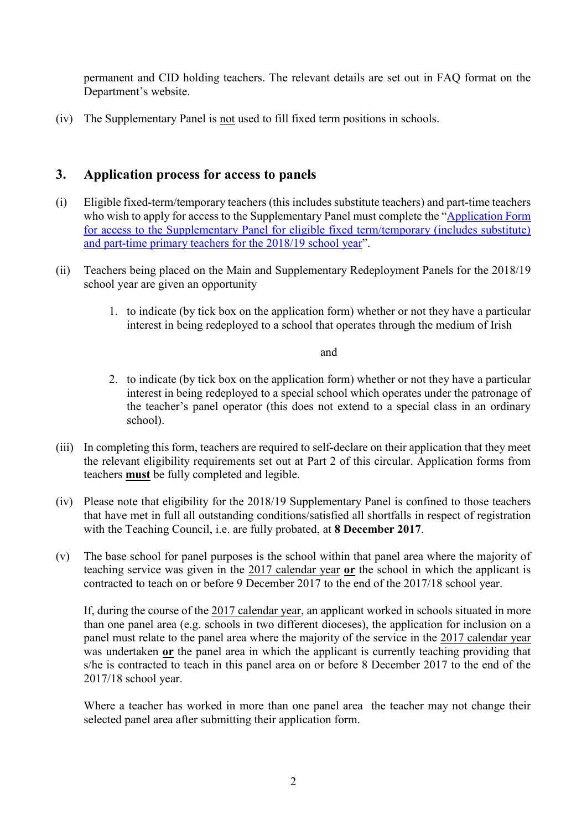permanent and CID holding teachers. The relevant details are set out in FAQ format on the Department's website.

(iv) The Supplementary Panel is not used to fill fixed term positions in schools.

## **3. Application process for access to panels**

- (i) Eligible fixed-term/temporary teachers (this includes substitute teachers) and part-time teachers who wish to apply for access to the Supplementary Panel must complete the "Application Form [for access to the Supplementary Panel for eligible fixed term/temporary \(includes substitute\)](https://www.education.ie/en/Schools-Colleges/Services/Teacher-Allocations/Teacher-Allocation/primary-application-form-for-supplementary-panel-for-the-2018-19-school-year.pdf)  [and part-time primary teachers for the 2018/19](https://www.education.ie/en/Schools-Colleges/Services/Teacher-Allocations/Teacher-Allocation/primary-application-form-for-supplementary-panel-for-the-2018-19-school-year.pdf) school year".
- (ii) Teachers being placed on the Main and Supplementary Redeployment Panels for the 2018/19 school year are given an opportunity
	- 1. to indicate (by tick box on the application form) whether or not they have a particular interest in being redeployed to a school that operates through the medium of Irish

#### and

- 2. to indicate (by tick box on the application form) whether or not they have a particular interest in being redeployed to a special school which operates under the patronage of the teacher's panel operator (this does not extend to a special class in an ordinary school).
- (iii) In completing this form, teachers are required to self-declare on their application that they meet the relevant eligibility requirements set out at Part 2 of this circular. Application forms from teachers **must** be fully completed and legible.
- (iv) Please note that eligibility for the 2018/19 Supplementary Panel is confined to those teachers that have met in full all outstanding conditions/satisfied all shortfalls in respect of registration with the Teaching Council, i.e. are fully probated, at **8 December 2017**.
- (v) The base school for panel purposes is the school within that panel area where the majority of teaching service was given in the 2017 calendar year **or** the school in which the applicant is contracted to teach on or before 9 December 2017 to the end of the 2017/18 school year.

If, during the course of the 2017 calendar year, an applicant worked in schools situated in more than one panel area (e.g. schools in two different dioceses), the application for inclusion on a panel must relate to the panel area where the majority of the service in the 2017 calendar year was undertaken **or** the panel area in which the applicant is currently teaching providing that s/he is contracted to teach in this panel area on or before 8 December 2017 to the end of the 2017/18 school year.

Where a teacher has worked in more than one panel area the teacher may not change their selected panel area after submitting their application form.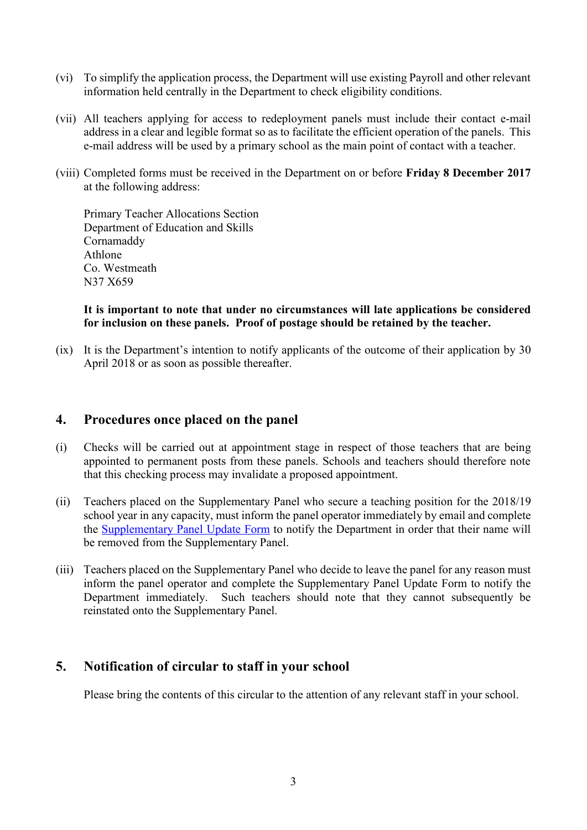- (vi) To simplify the application process, the Department will use existing Payroll and other relevant information held centrally in the Department to check eligibility conditions.
- (vii) All teachers applying for access to redeployment panels must include their contact e-mail address in a clear and legible format so as to facilitate the efficient operation of the panels. This e-mail address will be used by a primary school as the main point of contact with a teacher.
- (viii) Completed forms must be received in the Department on or before **Friday 8 December 2017** at the following address:

Primary Teacher Allocations Section Department of Education and Skills Cornamaddy Athlone Co. Westmeath N37 X659

#### **It is important to note that under no circumstances will late applications be considered for inclusion on these panels. Proof of postage should be retained by the teacher.**

(ix) It is the Department's intention to notify applicants of the outcome of their application by 30 April 2018 or as soon as possible thereafter.

### **4. Procedures once placed on the panel**

- (i) Checks will be carried out at appointment stage in respect of those teachers that are being appointed to permanent posts from these panels. Schools and teachers should therefore note that this checking process may invalidate a proposed appointment.
- (ii) Teachers placed on the Supplementary Panel who secure a teaching position for the 2018/19 school year in any capacity, must inform the panel operator immediately by email and complete the [Supplementary Panel Update Form](https://www.education.ie/en/Schools-Colleges/Services/Teacher-Allocations/Teacher-Allocation/supplementary-panel-update-form-2018-19-form-puf-.pdf) to notify the Department in order that their name will be removed from the Supplementary Panel.
- (iii) Teachers placed on the Supplementary Panel who decide to leave the panel for any reason must inform the panel operator and complete the Supplementary Panel Update Form to notify the Department immediately. Such teachers should note that they cannot subsequently be reinstated onto the Supplementary Panel.

### **5. Notification of circular to staff in your school**

Please bring the contents of this circular to the attention of any relevant staff in your school.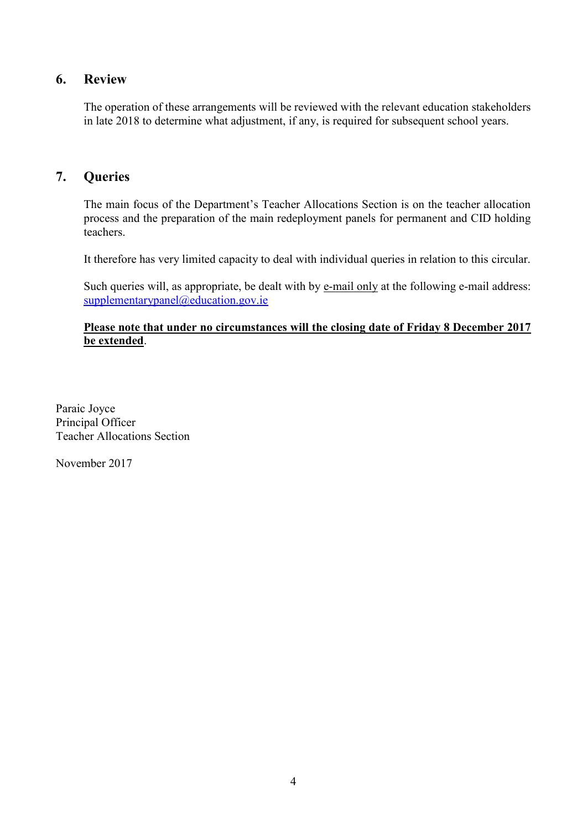## **6. Review**

The operation of these arrangements will be reviewed with the relevant education stakeholders in late 2018 to determine what adjustment, if any, is required for subsequent school years.

## **7. Queries**

The main focus of the Department's Teacher Allocations Section is on the teacher allocation process and the preparation of the main redeployment panels for permanent and CID holding teachers.

It therefore has very limited capacity to deal with individual queries in relation to this circular.

Such queries will, as appropriate, be dealt with by e-mail only at the following e-mail address: [supplementarypanel@education.gov.ie](mailto:supplementarypanel@education.gov.ie)

#### **Please note that under no circumstances will the closing date of Friday 8 December 2017 be extended**.

Paraic Joyce Principal Officer Teacher Allocations Section

November 2017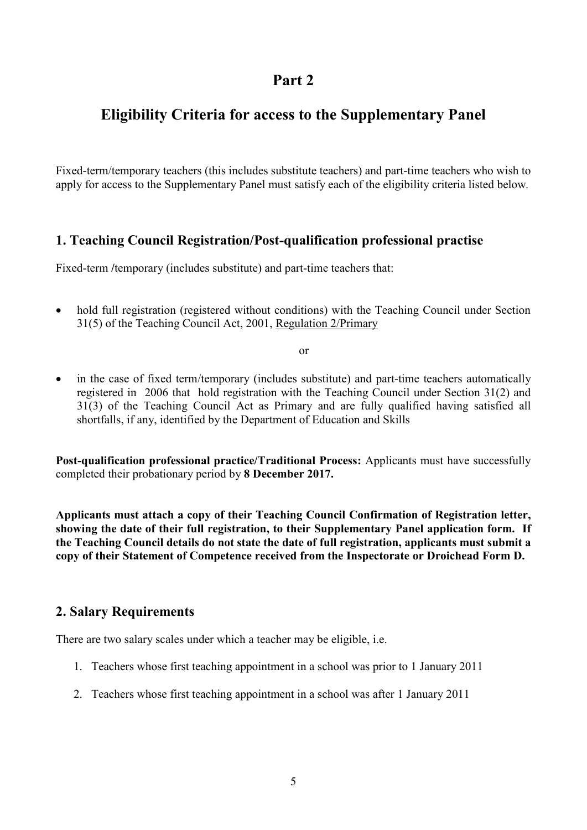## **Part 2**

## **Eligibility Criteria for access to the Supplementary Panel**

Fixed-term/temporary teachers (this includes substitute teachers) and part-time teachers who wish to apply for access to the Supplementary Panel must satisfy each of the eligibility criteria listed below*.*

## **1. Teaching Council Registration/Post-qualification professional practise**

Fixed-term /*temporary* (includes substitute) and part-time teachers that:

• hold full registration (registered without conditions) with the Teaching Council under Section 31(5) of the Teaching Council Act, 2001, Regulation 2/Primary

or

 in the case of fixed term/temporary (includes substitute) and part-time teachers automatically registered in 2006 that hold registration with the Teaching Council under Section 31(2) and 31(3) of the Teaching Council Act as Primary and are fully qualified having satisfied all shortfalls, if any, identified by the Department of Education and Skills

**Post-qualification professional practice/Traditional Process:** Applicants must have successfully completed their probationary period by **8 December 2017.**

**Applicants must attach a copy of their Teaching Council Confirmation of Registration letter, showing the date of their full registration, to their Supplementary Panel application form. If the Teaching Council details do not state the date of full registration, applicants must submit a copy of their Statement of Competence received from the Inspectorate or Droichead Form D.**

### **2. Salary Requirements**

There are two salary scales under which a teacher may be eligible, i.e.

- 1. Teachers whose first teaching appointment in a school was prior to 1 January 2011
- 2. Teachers whose first teaching appointment in a school was after 1 January 2011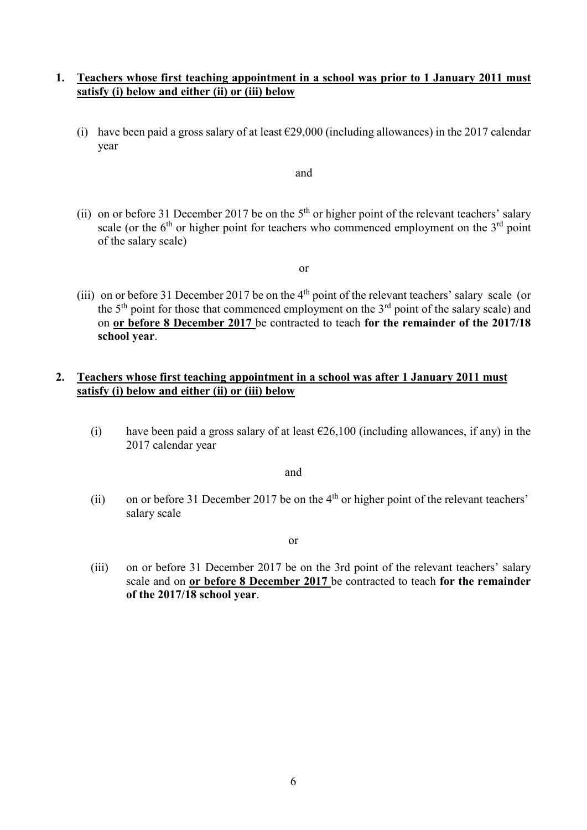#### **1. Teachers whose first teaching appointment in a school was prior to 1 January 2011 must satisfy (i) below and either (ii) or (iii) below**

(i) have been paid a gross salary of at least  $\epsilon$ 29,000 (including allowances) in the 2017 calendar year

and

(ii) on or before 31 December 2017 be on the  $5<sup>th</sup>$  or higher point of the relevant teachers' salary scale (or the  $6<sup>th</sup>$  or higher point for teachers who commenced employment on the  $3<sup>rd</sup>$  point of the salary scale)

or

(iii) on or before 31 December 2017 be on the 4<sup>th</sup> point of the relevant teachers' salary scale (or the  $5<sup>th</sup>$  point for those that commenced employment on the  $3<sup>rd</sup>$  point of the salary scale) and on **or before 8 December 2017** be contracted to teach **for the remainder of the 2017/18 school year**.

#### **2. Teachers whose first teaching appointment in a school was after 1 January 2011 must satisfy (i) below and either (ii) or (iii) below**

(i) have been paid a gross salary of at least  $\epsilon$ 26,100 (including allowances, if any) in the 2017 calendar year

and

(ii) on or before 31 December 2017 be on the  $4<sup>th</sup>$  or higher point of the relevant teachers' salary scale

or

(iii) on or before 31 December 2017 be on the 3rd point of the relevant teachers' salary scale and on **or before 8 December 2017** be contracted to teach **for the remainder of the 2017/18 school year**.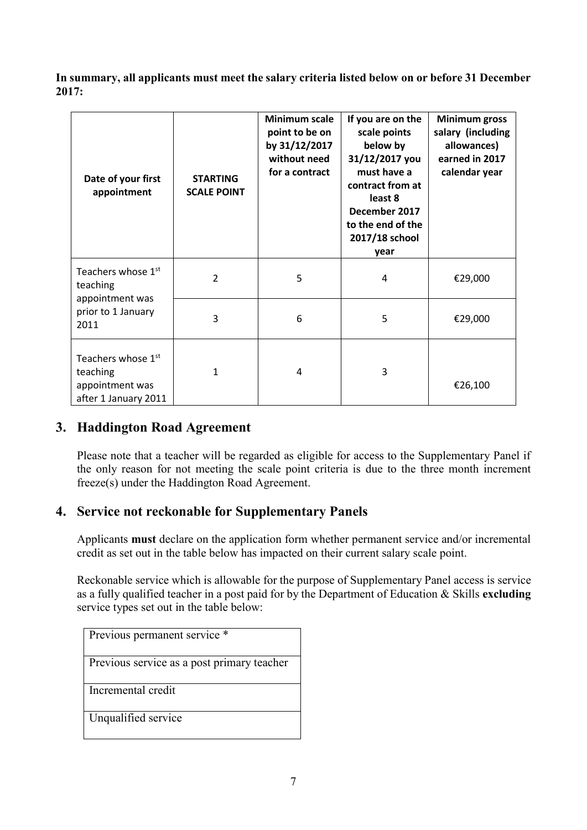**In summary, all applicants must meet the salary criteria listed below on or before 31 December 2017:**

| Date of your first<br>appointment                                         | <b>STARTING</b><br><b>SCALE POINT</b> | <b>Minimum scale</b><br>point to be on<br>by 31/12/2017<br>without need<br>for a contract | If you are on the<br>scale points<br>below by<br>31/12/2017 you<br>must have a<br>contract from at<br>least 8<br>December 2017<br>to the end of the<br>2017/18 school<br>year | <b>Minimum gross</b><br>salary (including<br>allowances)<br>earned in 2017<br>calendar year |
|---------------------------------------------------------------------------|---------------------------------------|-------------------------------------------------------------------------------------------|-------------------------------------------------------------------------------------------------------------------------------------------------------------------------------|---------------------------------------------------------------------------------------------|
| Teachers whose 1st<br>teaching                                            | $\overline{2}$                        | 5                                                                                         | 4                                                                                                                                                                             | €29,000                                                                                     |
| appointment was<br>prior to 1 January<br>2011                             | 3                                     | 6                                                                                         | 5                                                                                                                                                                             | €29,000                                                                                     |
| Teachers whose 1st<br>teaching<br>appointment was<br>after 1 January 2011 | 1                                     | 4                                                                                         | 3                                                                                                                                                                             | €26,100                                                                                     |

## **3. Haddington Road Agreement**

Please note that a teacher will be regarded as eligible for access to the Supplementary Panel if the only reason for not meeting the scale point criteria is due to the three month increment freeze(s) under the Haddington Road Agreement.

## **4. Service not reckonable for Supplementary Panels**

Applicants **must** declare on the application form whether permanent service and/or incremental credit as set out in the table below has impacted on their current salary scale point.

Reckonable service which is allowable for the purpose of Supplementary Panel access is service as a fully qualified teacher in a post paid for by the Department of Education & Skills **excluding**  service types set out in the table below:

Previous permanent service \*

Previous service as a post primary teacher

Incremental credit

Unqualified service